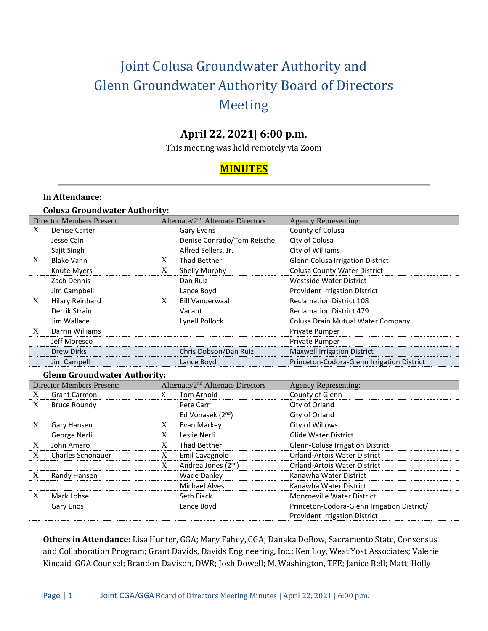# Joint Colusa Groundwater Authority and Glenn Groundwater Authority Board of Directors Meeting

# **April 22, 2021| 6:00 p.m.**

This meeting was held remotely via Zoom

# **MINUTES**

#### **In Attendance:**

|  | <b>Colusa Groundwater Authority:</b> |  |
|--|--------------------------------------|--|
|--|--------------------------------------|--|

|   | <b>Director Members Present:</b>    |   | Alternate/ $2nd$ Alternate Directors | <b>Agency Representing:</b>                |  |  |
|---|-------------------------------------|---|--------------------------------------|--------------------------------------------|--|--|
| X | <b>Denise Carter</b>                |   | Gary Evans                           | County of Colusa                           |  |  |
|   | Jesse Cain                          |   | Denise Conrado/Tom Reische           | City of Colusa                             |  |  |
|   | Sajit Singh                         |   | Alfred Sellers, Jr.                  | City of Williams                           |  |  |
| X | <b>Blake Vann</b>                   | X | <b>Thad Bettner</b>                  | Glenn Colusa Irrigation District           |  |  |
|   | Knute Myers                         | X | Shelly Murphy                        | <b>Colusa County Water District</b>        |  |  |
|   | Zach Dennis                         |   | Dan Ruiz                             | Westside Water District                    |  |  |
|   | Jim Campbell                        |   | Lance Boyd                           | <b>Provident Irrigation District</b>       |  |  |
| X | Hilary Reinhard                     | X | <b>Bill Vanderwaal</b>               | <b>Reclamation District 108</b>            |  |  |
|   | Derrik Strain                       |   | Vacant                               | <b>Reclamation District 479</b>            |  |  |
|   | Jim Wallace                         |   | Lynell Pollock                       | Colusa Drain Mutual Water Company          |  |  |
| X | Darrin Williams                     |   |                                      | Private Pumper                             |  |  |
|   | Jeff Moresco                        |   |                                      | Private Pumper                             |  |  |
|   | <b>Drew Dirks</b>                   |   | Chris Dobson/Dan Ruiz                | <b>Maxwell Irrigation District</b>         |  |  |
|   | Jim Campell                         |   | Lance Boyd                           | Princeton-Codora-Glenn Irrigation District |  |  |
|   | <b>Glenn Groundwater Authority:</b> |   |                                      |                                            |  |  |

|   | <b>Director Members Present:</b> |   | Alternate/2 <sup>nd</sup> Alternate Directors | <b>Agency Representing:</b>                 |
|---|----------------------------------|---|-----------------------------------------------|---------------------------------------------|
| X | <b>Grant Carmon</b>              |   | Tom Arnold                                    | County of Glenn                             |
| X | <b>Bruce Roundy</b>              |   | Pete Carr                                     | City of Orland                              |
|   |                                  |   | Ed Vonasek (2 <sup>nd</sup> )                 | City of Orland                              |
| X | Gary Hansen                      | X | Evan Markey                                   | City of Willows                             |
|   | George Nerli                     | X | Leslie Nerli                                  | Glide Water District                        |
| X | John Amaro                       | X | <b>Thad Bettner</b>                           | Glenn-Colusa Irrigation District            |
| X | <b>Charles Schonauer</b>         | X | Emil Cavagnolo                                | <b>Orland-Artois Water District</b>         |
|   |                                  | X | Andrea Jones (2 <sup>nd</sup> )               | <b>Orland-Artois Water District</b>         |
| X | Randy Hansen                     |   | <b>Wade Danley</b>                            | Kanawha Water District                      |
|   |                                  |   | <b>Michael Alves</b>                          | Kanawha Water District                      |
| X | Mark Lohse                       |   | Seth Fiack                                    | <b>Monroeville Water District</b>           |
|   | Gary Enos                        |   | Lance Boyd                                    | Princeton-Codora-Glenn Irrigation District/ |
|   |                                  |   |                                               | <b>Provident Irrigation District</b>        |

**Others in Attendance:** Lisa Hunter, GGA; Mary Fahey, CGA; Danaka DeBow, Sacramento State, Consensus and Collaboration Program; Grant Davids, Davids Engineering, Inc.; Ken Loy, West Yost Associates; Valerie Kincaid, GGA Counsel; Brandon Davison, DWR; Josh Dowell; M. Washington, TFE; Janice Bell; Matt; Holly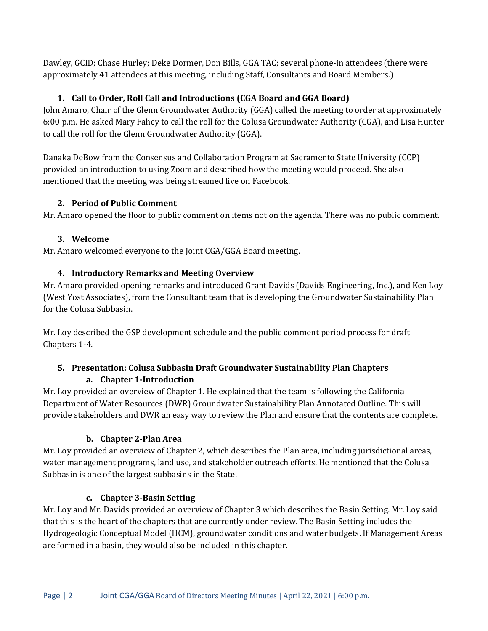Dawley, GCID; Chase Hurley; Deke Dormer, Don Bills, GGA TAC; several phone-in attendees (there were approximately 41 attendees at this meeting, including Staff, Consultants and Board Members.)

# **1. Call to Order, Roll Call and Introductions (CGA Board and GGA Board)**

John Amaro, Chair of the Glenn Groundwater Authority (GGA) called the meeting to order at approximately 6:00 p.m. He asked Mary Fahey to call the roll for the Colusa Groundwater Authority (CGA), and Lisa Hunter to call the roll for the Glenn Groundwater Authority (GGA).

Danaka DeBow from the Consensus and Collaboration Program at Sacramento State University (CCP) provided an introduction to using Zoom and described how the meeting would proceed. She also mentioned that the meeting was being streamed live on Facebook.

# **2. Period of Public Comment**

Mr. Amaro opened the floor to public comment on items not on the agenda. There was no public comment.

# **3. Welcome**

Mr. Amaro welcomed everyone to the Joint CGA/GGA Board meeting.

# **4. Introductory Remarks and Meeting Overview**

Mr. Amaro provided opening remarks and introduced Grant Davids (Davids Engineering, Inc.), and Ken Loy (West Yost Associates), from the Consultant team that is developing the Groundwater Sustainability Plan for the Colusa Subbasin.

Mr. Loy described the GSP development schedule and the public comment period process for draft Chapters 1-4.

#### **5. Presentation: Colusa Subbasin Draft Groundwater Sustainability Plan Chapters a. Chapter 1-Introduction**

Mr. Loy provided an overview of Chapter 1. He explained that the team is following the California Department of Water Resources (DWR) Groundwater Sustainability Plan Annotated Outline. This will provide stakeholders and DWR an easy way to review the Plan and ensure that the contents are complete.

# **b. Chapter 2-Plan Area**

Mr. Loy provided an overview of Chapter 2, which describes the Plan area, including jurisdictional areas, water management programs, land use, and stakeholder outreach efforts. He mentioned that the Colusa Subbasin is one of the largest subbasins in the State.

# **c. Chapter 3-Basin Setting**

Mr. Loy and Mr. Davids provided an overview of Chapter 3 which describes the Basin Setting. Mr. Loy said that this is the heart of the chapters that are currently under review. The Basin Setting includes the Hydrogeologic Conceptual Model (HCM), groundwater conditions and water budgets. If Management Areas are formed in a basin, they would also be included in this chapter.